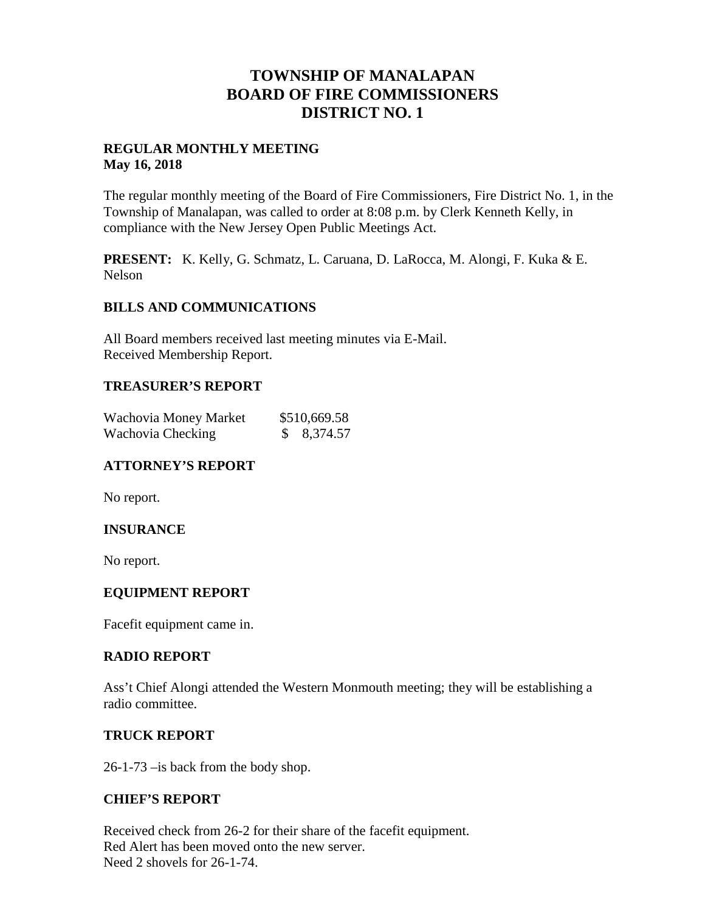## **TOWNSHIP OF MANALAPAN BOARD OF FIRE COMMISSIONERS DISTRICT NO. 1**

#### **REGULAR MONTHLY MEETING May 16, 2018**

The regular monthly meeting of the Board of Fire Commissioners, Fire District No. 1, in the Township of Manalapan, was called to order at 8:08 p.m. by Clerk Kenneth Kelly, in compliance with the New Jersey Open Public Meetings Act.

**PRESENT:** K. Kelly, G. Schmatz, L. Caruana, D. LaRocca, M. Alongi, F. Kuka & E. Nelson

#### **BILLS AND COMMUNICATIONS**

All Board members received last meeting minutes via E-Mail. Received Membership Report.

#### **TREASURER'S REPORT**

| Wachovia Money Market | \$510,669.58 |
|-----------------------|--------------|
| Wachovia Checking     | \$8,374.57   |

#### **ATTORNEY'S REPORT**

No report.

#### **INSURANCE**

No report.

#### **EQUIPMENT REPORT**

Facefit equipment came in.

#### **RADIO REPORT**

Ass't Chief Alongi attended the Western Monmouth meeting; they will be establishing a radio committee.

#### **TRUCK REPORT**

26-1-73 –is back from the body shop.

#### **CHIEF'S REPORT**

Received check from 26-2 for their share of the facefit equipment. Red Alert has been moved onto the new server. Need 2 shovels for 26-1-74.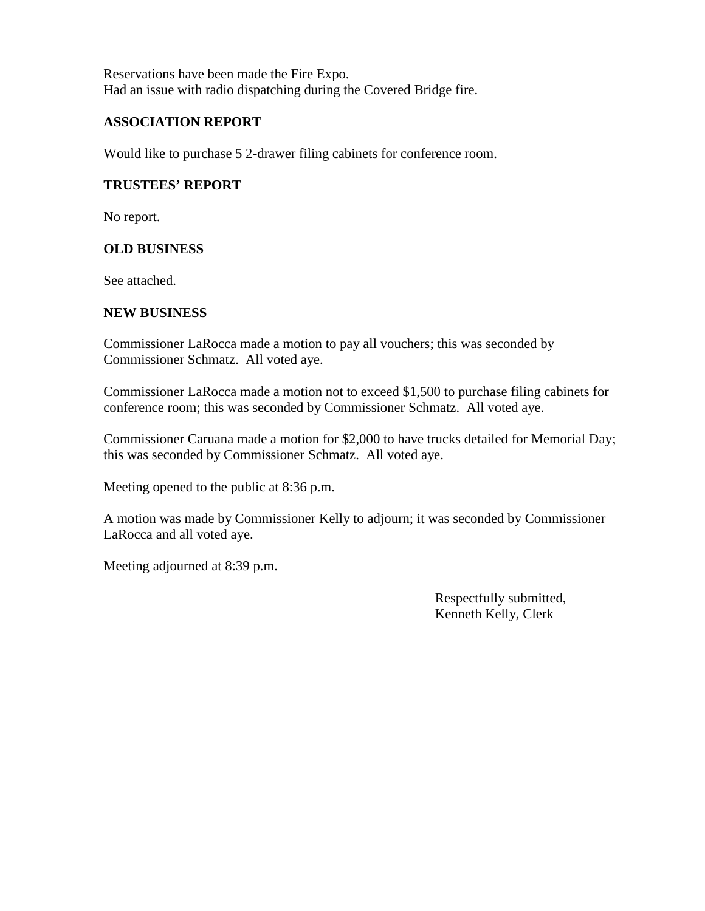Reservations have been made the Fire Expo. Had an issue with radio dispatching during the Covered Bridge fire.

#### **ASSOCIATION REPORT**

Would like to purchase 5 2-drawer filing cabinets for conference room.

### **TRUSTEES' REPORT**

No report.

### **OLD BUSINESS**

See attached.

#### **NEW BUSINESS**

Commissioner LaRocca made a motion to pay all vouchers; this was seconded by Commissioner Schmatz. All voted aye.

Commissioner LaRocca made a motion not to exceed \$1,500 to purchase filing cabinets for conference room; this was seconded by Commissioner Schmatz. All voted aye.

Commissioner Caruana made a motion for \$2,000 to have trucks detailed for Memorial Day; this was seconded by Commissioner Schmatz. All voted aye.

Meeting opened to the public at 8:36 p.m.

A motion was made by Commissioner Kelly to adjourn; it was seconded by Commissioner LaRocca and all voted aye.

Meeting adjourned at 8:39 p.m.

Respectfully submitted, Kenneth Kelly, Clerk